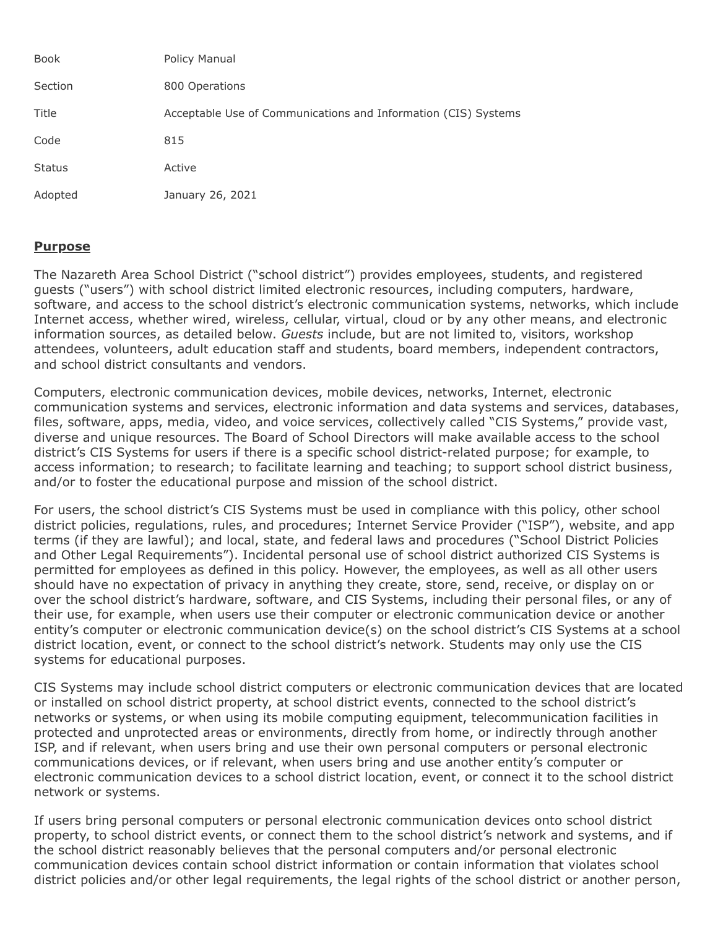| <b>Book</b>   | Policy Manual                                                  |
|---------------|----------------------------------------------------------------|
| Section       | 800 Operations                                                 |
| Title         | Acceptable Use of Communications and Information (CIS) Systems |
| Code          | 815                                                            |
| <b>Status</b> | Active                                                         |
| Adopted       | January 26, 2021                                               |

## **Purpose**

The Nazareth Area School District ("school district") provides employees, students, and registered guests ("users") with school district limited electronic resources, including computers, hardware, software, and access to the school district's electronic communication systems, networks, which include Internet access, whether wired, wireless, cellular, virtual, cloud or by any other means, and electronic information sources, as detailed below. *Guests* include, but are not limited to, visitors, workshop attendees, volunteers, adult education staff and students, board members, independent contractors, and school district consultants and vendors.

Computers, electronic communication devices, mobile devices, networks, Internet, electronic communication systems and services, electronic information and data systems and services, databases, files, software, apps, media, video, and voice services, collectively called "CIS Systems," provide vast, diverse and unique resources. The Board of School Directors will make available access to the school district's CIS Systems for users if there is a specific school district-related purpose; for example, to access information; to research; to facilitate learning and teaching; to support school district business, and/or to foster the educational purpose and mission of the school district.

For users, the school district's CIS Systems must be used in compliance with this policy, other school district policies, regulations, rules, and procedures; Internet Service Provider ("ISP"), website, and app terms (if they are lawful); and local, state, and federal laws and procedures ("School District Policies and Other Legal Requirements"). Incidental personal use of school district authorized CIS Systems is permitted for employees as defined in this policy. However, the employees, as well as all other users should have no expectation of privacy in anything they create, store, send, receive, or display on or over the school district's hardware, software, and CIS Systems, including their personal files, or any of their use, for example, when users use their computer or electronic communication device or another entity's computer or electronic communication device(s) on the school district's CIS Systems at a school district location, event, or connect to the school district's network. Students may only use the CIS systems for educational purposes.

CIS Systems may include school district computers or electronic communication devices that are located or installed on school district property, at school district events, connected to the school district's networks or systems, or when using its mobile computing equipment, telecommunication facilities in protected and unprotected areas or environments, directly from home, or indirectly through another ISP, and if relevant, when users bring and use their own personal computers or personal electronic communications devices, or if relevant, when users bring and use another entity's computer or electronic communication devices to a school district location, event, or connect it to the school district network or systems.

If users bring personal computers or personal electronic communication devices onto school district property, to school district events, or connect them to the school district's network and systems, and if the school district reasonably believes that the personal computers and/or personal electronic communication devices contain school district information or contain information that violates school district policies and/or other legal requirements, the legal rights of the school district or another person,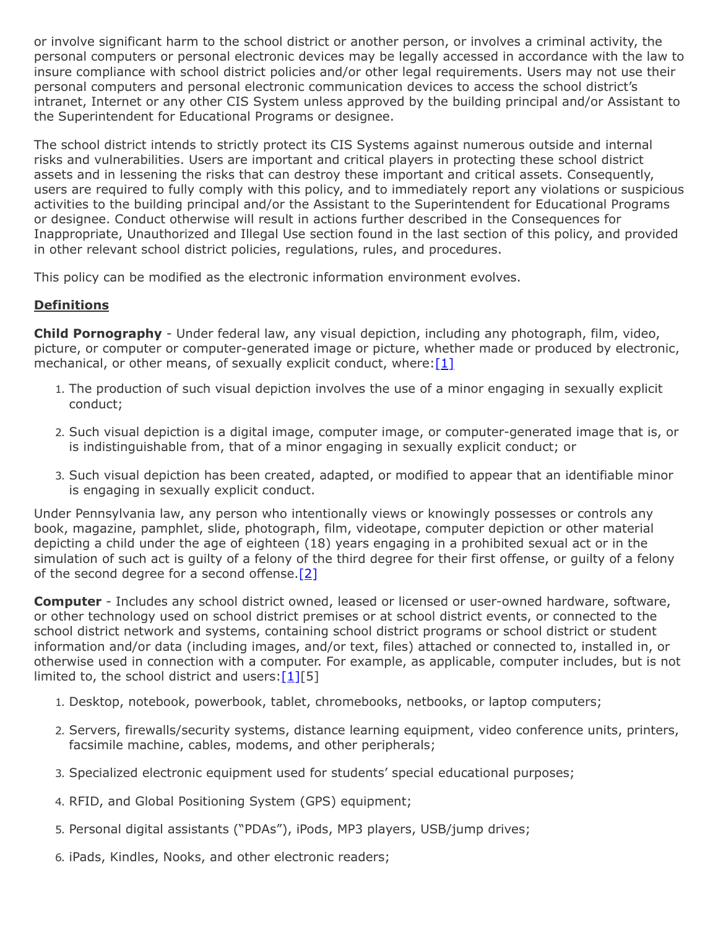or involve significant harm to the school district or another person, or involves a criminal activity, the personal computers or personal electronic devices may be legally accessed in accordance with the law to insure compliance with school district policies and/or other legal requirements. Users may not use their personal computers and personal electronic communication devices to access the school district's intranet, Internet or any other CIS System unless approved by the building principal and/or Assistant to the Superintendent for Educational Programs or designee.

The school district intends to strictly protect its CIS Systems against numerous outside and internal risks and vulnerabilities. Users are important and critical players in protecting these school district assets and in lessening the risks that can destroy these important and critical assets. Consequently, users are required to fully comply with this policy, and to immediately report any violations or suspicious activities to the building principal and/or the Assistant to the Superintendent for Educational Programs or designee. Conduct otherwise will result in actions further described in the Consequences for Inappropriate, Unauthorized and Illegal Use section found in the last section of this policy, and provided in other relevant school district policies, regulations, rules, and procedures.

This policy can be modified as the electronic information environment evolves.

# **Definitions**

**Child Pornography** - Under federal law, any visual depiction, including any photograph, film, video, picture, or computer or computer-generated image or picture, whether made or produced by electronic, mechanical, or other means, of sexually explicit conduct, where: $[1]$ 

- 1. The production of such visual depiction involves the use of a minor engaging in sexually explicit conduct;
- 2. Such visual depiction is a digital image, computer image, or computer-generated image that is, or is indistinguishable from, that of a minor engaging in sexually explicit conduct; or
- 3. Such visual depiction has been created, adapted, or modified to appear that an identifiable minor is engaging in sexually explicit conduct.

Under Pennsylvania law, any person who intentionally views or knowingly possesses or controls any book, magazine, pamphlet, slide, photograph, film, videotape, computer depiction or other material depicting a child under the age of eighteen (18) years engaging in a prohibited sexual act or in the simulation of such act is guilty of a felony of the third degree for their first offense, or guilty of a felony of the second degree for a second offense. $[2]$ 

**Computer** - Includes any school district owned, leased or licensed or user-owned hardware, software, or other technology used on school district premises or at school district events, or connected to the school district network and systems, containing school district programs or school district or student information and/or data (including images, and/or text, files) attached or connected to, installed in, or otherwise used in connection with a computer. For example, as applicable, computer includes, but is not limited to, the school district and users: $[1][5]$  $[1][5]$ 

- 1. Desktop, notebook, powerbook, tablet, chromebooks, netbooks, or laptop computers;
- 2. Servers, firewalls/security systems, distance learning equipment, video conference units, printers, facsimile machine, cables, modems, and other peripherals;
- 3. Specialized electronic equipment used for students' special educational purposes;
- 4. RFID, and Global Positioning System (GPS) equipment;
- 5. Personal digital assistants ("PDAs"), iPods, MP3 players, USB/jump drives;
- 6. iPads, Kindles, Nooks, and other electronic readers;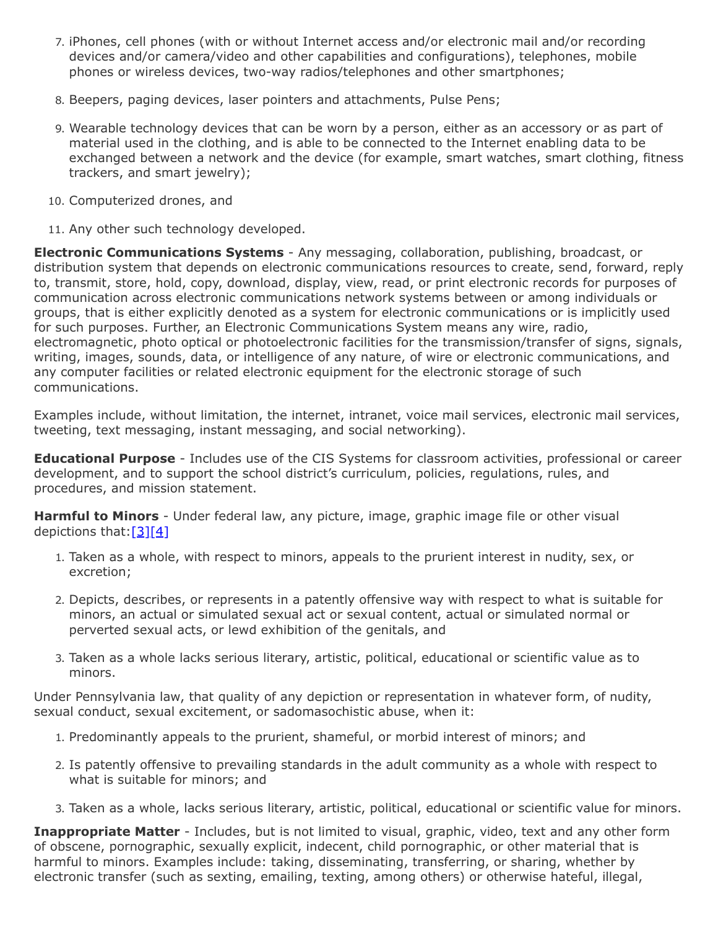- 7. iPhones, cell phones (with or without Internet access and/or electronic mail and/or recording devices and/or camera/video and other capabilities and configurations), telephones, mobile phones or wireless devices, two-way radios/telephones and other smartphones;
- 8. Beepers, paging devices, laser pointers and attachments, Pulse Pens;
- 9. Wearable technology devices that can be worn by a person, either as an accessory or as part of material used in the clothing, and is able to be connected to the Internet enabling data to be exchanged between a network and the device (for example, smart watches, smart clothing, fitness trackers, and smart jewelry);
- 10. Computerized drones, and
- 11. Any other such technology developed.

**Electronic Communications Systems** - Any messaging, collaboration, publishing, broadcast, or distribution system that depends on electronic communications resources to create, send, forward, reply to, transmit, store, hold, copy, download, display, view, read, or print electronic records for purposes of communication across electronic communications network systems between or among individuals or groups, that is either explicitly denoted as a system for electronic communications or is implicitly used for such purposes. Further, an Electronic Communications System means any wire, radio, electromagnetic, photo optical or photoelectronic facilities for the transmission/transfer of signs, signals, writing, images, sounds, data, or intelligence of any nature, of wire or electronic communications, and any computer facilities or related electronic equipment for the electronic storage of such communications.

Examples include, without limitation, the internet, intranet, voice mail services, electronic mail services, tweeting, text messaging, instant messaging, and social networking).

**Educational Purpose** - Includes use of the CIS Systems for classroom activities, professional or career development, and to support the school district's curriculum, policies, regulations, rules, and procedures, and mission statement.

**Harmful to Minors** - Under federal law, any picture, image, graphic image file or other visual depictions that: $[3][4]$  $[3][4]$ 

- 1. Taken as a whole, with respect to minors, appeals to the prurient interest in nudity, sex, or excretion;
- 2. Depicts, describes, or represents in a patently offensive way with respect to what is suitable for minors, an actual or simulated sexual act or sexual content, actual or simulated normal or perverted sexual acts, or lewd exhibition of the genitals, and
- 3. Taken as a whole lacks serious literary, artistic, political, educational or scientific value as to minors.

Under Pennsylvania law, that quality of any depiction or representation in whatever form, of nudity, sexual conduct, sexual excitement, or sadomasochistic abuse, when it:

- 1. Predominantly appeals to the prurient, shameful, or morbid interest of minors; and
- 2. Is patently offensive to prevailing standards in the adult community as a whole with respect to what is suitable for minors; and
- 3. Taken as a whole, lacks serious literary, artistic, political, educational or scientific value for minors.

**Inappropriate Matter** - Includes, but is not limited to visual, graphic, video, text and any other form of obscene, pornographic, sexually explicit, indecent, child pornographic, or other material that is harmful to minors. Examples include: taking, disseminating, transferring, or sharing, whether by electronic transfer (such as sexting, emailing, texting, among others) or otherwise hateful, illegal,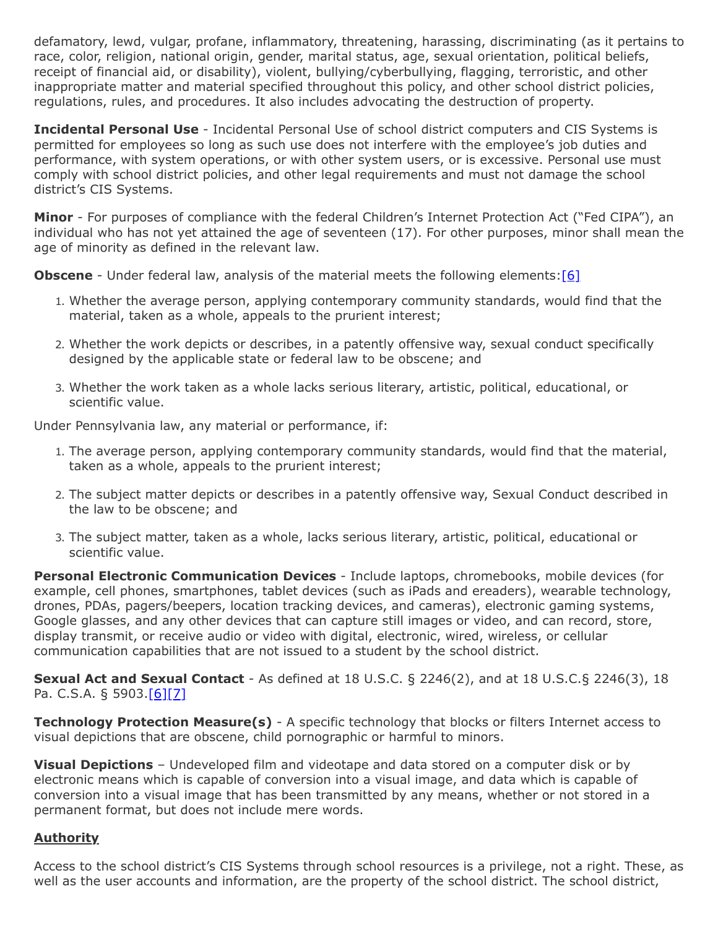defamatory, lewd, vulgar, profane, inflammatory, threatening, harassing, discriminating (as it pertains to race, color, religion, national origin, gender, marital status, age, sexual orientation, political beliefs, receipt of financial aid, or disability), violent, bullying/cyberbullying, flagging, terroristic, and other inappropriate matter and material specified throughout this policy, and other school district policies, regulations, rules, and procedures. It also includes advocating the destruction of property.

**Incidental Personal Use** - Incidental Personal Use of school district computers and CIS Systems is permitted for employees so long as such use does not interfere with the employee's job duties and performance, with system operations, or with other system users, or is excessive. Personal use must comply with school district policies, and other legal requirements and must not damage the school district's CIS Systems.

**Minor** - For purposes of compliance with the federal Children's Internet Protection Act ("Fed CIPA"), an individual who has not yet attained the age of seventeen (17). For other purposes, minor shall mean the age of minority as defined in the relevant law.

**Obscene** - Under federal law, analysis of the material meets the following elements: [\[6\]](http://www.legis.state.pa.us/cfdocs/legis/LI/consCheck.cfm?txtType=HTM&ttl=18&div=0&chpt=59&sctn=3&subsctn=0)

- 1. Whether the average person, applying contemporary community standards, would find that the material, taken as a whole, appeals to the prurient interest;
- 2. Whether the work depicts or describes, in a patently offensive way, sexual conduct specifically designed by the applicable state or federal law to be obscene; and
- 3. Whether the work taken as a whole lacks serious literary, artistic, political, educational, or scientific value.

Under Pennsylvania law, any material or performance, if:

- 1. The average person, applying contemporary community standards, would find that the material, taken as a whole, appeals to the prurient interest;
- 2. The subject matter depicts or describes in a patently offensive way, Sexual Conduct described in the law to be obscene; and
- 3. The subject matter, taken as a whole, lacks serious literary, artistic, political, educational or scientific value.

**Personal Electronic Communication Devices** - Include laptops, chromebooks, mobile devices (for example, cell phones, smartphones, tablet devices (such as iPads and ereaders), wearable technology, drones, PDAs, pagers/beepers, location tracking devices, and cameras), electronic gaming systems, Google glasses, and any other devices that can capture still images or video, and can record, store, display transmit, or receive audio or video with digital, electronic, wired, wireless, or cellular communication capabilities that are not issued to a student by the school district.

**Sexual Act and Sexual Contact** - As defined at 18 U.S.C. § 2246(2), and at 18 U.S.C.§ 2246(3), 18 Pa. C.S.A. § 5903.[\[6\]](http://www.legis.state.pa.us/cfdocs/legis/LI/consCheck.cfm?txtType=HTM&ttl=18&div=0&chpt=59&sctn=3&subsctn=0)[\[7\]](http://www.law.cornell.edu/uscode/text/18/2246)

**Technology Protection Measure(s)** - A specific technology that blocks or filters Internet access to visual depictions that are obscene, child pornographic or harmful to minors.

**Visual Depictions** – Undeveloped film and videotape and data stored on a computer disk or by electronic means which is capable of conversion into a visual image, and data which is capable of conversion into a visual image that has been transmitted by any means, whether or not stored in a permanent format, but does not include mere words.

# **Authority**

Access to the school district's CIS Systems through school resources is a privilege, not a right. These, as well as the user accounts and information, are the property of the school district. The school district,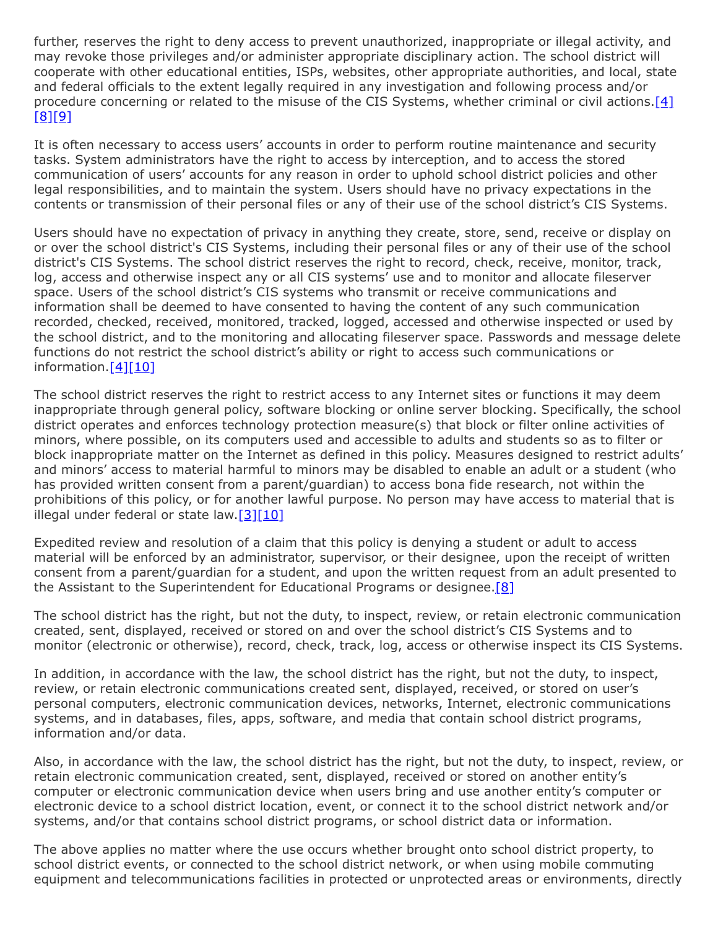further, reserves the right to deny access to prevent unauthorized, inappropriate or illegal activity, and may revoke those privileges and/or administer appropriate disciplinary action. The school district will cooperate with other educational entities, ISPs, websites, other appropriate authorities, and local, state and federal officials to the extent legally required in any investigation and following process and/or procedure concerning or related to the misuse of the CIS Systems, whether criminal or civil actions[.\[4\]](http://www.law.cornell.edu/uscode/text/47/254) [\[8\]](http://www.legis.state.pa.us/cfdocs/Legis/LI/uconsCheck.cfm?txtType=HTM&yr=2004&sessInd=0&smthLwInd=0&act=0197.)[\[9\]](http://www.legis.state.pa.us/cfdocs/legis/LI/uconsCheck.cfm?txtType=HTM&yr=1949&sessInd=0&smthLwInd=0&act=14&chpt=5&sctn=10&subsctn=0)

It is often necessary to access users' accounts in order to perform routine maintenance and security tasks. System administrators have the right to access by interception, and to access the stored communication of users' accounts for any reason in order to uphold school district policies and other legal responsibilities, and to maintain the system. Users should have no privacy expectations in the contents or transmission of their personal files or any of their use of the school district's CIS Systems.

Users should have no expectation of privacy in anything they create, store, send, receive or display on or over the school district's CIS Systems, including their personal files or any of their use of the school district's CIS Systems. The school district reserves the right to record, check, receive, monitor, track, log, access and otherwise inspect any or all CIS systems' use and to monitor and allocate fileserver space. Users of the school district's CIS systems who transmit or receive communications and information shall be deemed to have consented to having the content of any such communication recorded, checked, received, monitored, tracked, logged, accessed and otherwise inspected or used by the school district, and to the monitoring and allocating fileserver space. Passwords and message delete functions do not restrict the school district's ability or right to access such communications or information.<sup>[\[4\]](http://www.law.cornell.edu/uscode/text/47/254)[\[10\]](http://www.legis.state.pa.us/cfdocs/Legis/LI/uconsCheck.cfm?txtType=HTM&yr=2004&sessInd=0&smthLwInd=0&act=0197.)</sup>

The school district reserves the right to restrict access to any Internet sites or functions it may deem inappropriate through general policy, software blocking or online server blocking. Specifically, the school district operates and enforces technology protection measure(s) that block or filter online activities of minors, where possible, on its computers used and accessible to adults and students so as to filter or block inappropriate matter on the Internet as defined in this policy. Measures designed to restrict adults' and minors' access to material harmful to minors may be disabled to enable an adult or a student (who has provided written consent from a parent/guardian) to access bona fide research, not within the prohibitions of this policy, or for another lawful purpose. No person may have access to material that is illegal under federal or state law. $[3][10]$  $[3][10]$ 

Expedited review and resolution of a claim that this policy is denying a student or adult to access material will be enforced by an administrator, supervisor, or their designee, upon the receipt of written consent from a parent/guardian for a student, and upon the written request from an adult presented to the Assistant to the Superintendent for Educational Programs or designee.  $[8]$ 

The school district has the right, but not the duty, to inspect, review, or retain electronic communication created, sent, displayed, received or stored on and over the school district's CIS Systems and to monitor (electronic or otherwise), record, check, track, log, access or otherwise inspect its CIS Systems.

In addition, in accordance with the law, the school district has the right, but not the duty, to inspect, review, or retain electronic communications created sent, displayed, received, or stored on user's personal computers, electronic communication devices, networks, Internet, electronic communications systems, and in databases, files, apps, software, and media that contain school district programs, information and/or data.

Also, in accordance with the law, the school district has the right, but not the duty, to inspect, review, or retain electronic communication created, sent, displayed, received or stored on another entity's computer or electronic communication device when users bring and use another entity's computer or electronic device to a school district location, event, or connect it to the school district network and/or systems, and/or that contains school district programs, or school district data or information.

The above applies no matter where the use occurs whether brought onto school district property, to school district events, or connected to the school district network, or when using mobile commuting equipment and telecommunications facilities in protected or unprotected areas or environments, directly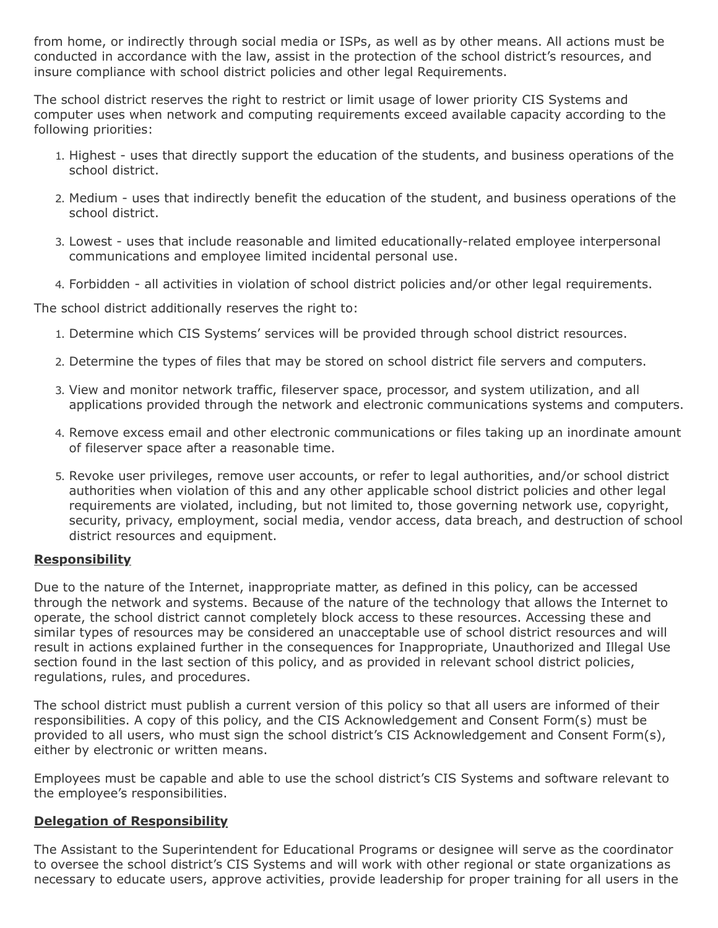from home, or indirectly through social media or ISPs, as well as by other means. All actions must be conducted in accordance with the law, assist in the protection of the school district's resources, and insure compliance with school district policies and other legal Requirements.

The school district reserves the right to restrict or limit usage of lower priority CIS Systems and computer uses when network and computing requirements exceed available capacity according to the following priorities:

- 1. Highest uses that directly support the education of the students, and business operations of the school district.
- 2. Medium uses that indirectly benefit the education of the student, and business operations of the school district.
- 3. Lowest uses that include reasonable and limited educationally-related employee interpersonal communications and employee limited incidental personal use.
- 4. Forbidden all activities in violation of school district policies and/or other legal requirements.

The school district additionally reserves the right to:

- 1. Determine which CIS Systems' services will be provided through school district resources.
- 2. Determine the types of files that may be stored on school district file servers and computers.
- 3. View and monitor network traffic, fileserver space, processor, and system utilization, and all applications provided through the network and electronic communications systems and computers.
- 4. Remove excess email and other electronic communications or files taking up an inordinate amount of fileserver space after a reasonable time.
- 5. Revoke user privileges, remove user accounts, or refer to legal authorities, and/or school district authorities when violation of this and any other applicable school district policies and other legal requirements are violated, including, but not limited to, those governing network use, copyright, security, privacy, employment, social media, vendor access, data breach, and destruction of school district resources and equipment.

## **Responsibility**

Due to the nature of the Internet, inappropriate matter, as defined in this policy, can be accessed through the network and systems. Because of the nature of the technology that allows the Internet to operate, the school district cannot completely block access to these resources. Accessing these and similar types of resources may be considered an unacceptable use of school district resources and will result in actions explained further in the consequences for Inappropriate, Unauthorized and Illegal Use section found in the last section of this policy, and as provided in relevant school district policies, regulations, rules, and procedures.

The school district must publish a current version of this policy so that all users are informed of their responsibilities. A copy of this policy, and the CIS Acknowledgement and Consent Form(s) must be provided to all users, who must sign the school district's CIS Acknowledgement and Consent Form(s), either by electronic or written means.

Employees must be capable and able to use the school district's CIS Systems and software relevant to the employee's responsibilities.

## **Delegation of Responsibility**

The Assistant to the Superintendent for Educational Programs or designee will serve as the coordinator to oversee the school district's CIS Systems and will work with other regional or state organizations as necessary to educate users, approve activities, provide leadership for proper training for all users in the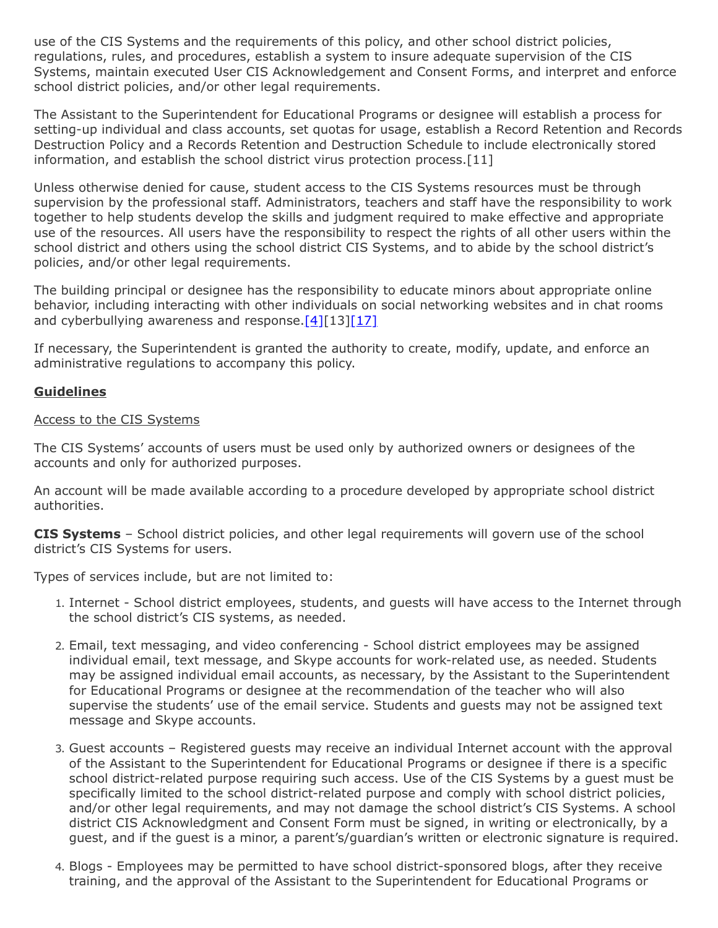use of the CIS Systems and the requirements of this policy, and other school district policies, regulations, rules, and procedures, establish a system to insure adequate supervision of the CIS Systems, maintain executed User CIS Acknowledgement and Consent Forms, and interpret and enforce school district policies, and/or other legal requirements.

The Assistant to the Superintendent for Educational Programs or designee will establish a process for setting-up individual and class accounts, set quotas for usage, establish a Record Retention and Records Destruction Policy and a Records Retention and Destruction Schedule to include electronically stored information, and establish the school district virus protection process.[11]

Unless otherwise denied for cause, student access to the CIS Systems resources must be through supervision by the professional staff. Administrators, teachers and staff have the responsibility to work together to help students develop the skills and judgment required to make effective and appropriate use of the resources. All users have the responsibility to respect the rights of all other users within the school district and others using the school district CIS Systems, and to abide by the school district's policies, and/or other legal requirements.

The building principal or designee has the responsibility to educate minors about appropriate online behavior, including interacting with other individuals on social networking websites and in chat rooms and cyberbullying awareness and response.  $[4][13][17]$  $[4][13][17]$  $[4][13][17]$ 

If necessary, the Superintendent is granted the authority to create, modify, update, and enforce an administrative regulations to accompany this policy.

## **Guidelines**

### Access to the CIS Systems

The CIS Systems' accounts of users must be used only by authorized owners or designees of the accounts and only for authorized purposes.

An account will be made available according to a procedure developed by appropriate school district authorities.

**CIS Systems** – School district policies, and other legal requirements will govern use of the school district's CIS Systems for users.

Types of services include, but are not limited to:

- 1. Internet School district employees, students, and guests will have access to the Internet through the school district's CIS systems, as needed.
- 2. Email, text messaging, and video conferencing School district employees may be assigned individual email, text message, and Skype accounts for work-related use, as needed. Students may be assigned individual email accounts, as necessary, by the Assistant to the Superintendent for Educational Programs or designee at the recommendation of the teacher who will also supervise the students' use of the email service. Students and guests may not be assigned text message and Skype accounts.
- 3. Guest accounts Registered guests may receive an individual Internet account with the approval of the Assistant to the Superintendent for Educational Programs or designee if there is a specific school district-related purpose requiring such access. Use of the CIS Systems by a guest must be specifically limited to the school district-related purpose and comply with school district policies, and/or other legal requirements, and may not damage the school district's CIS Systems. A school district CIS Acknowledgment and Consent Form must be signed, in writing or electronically, by a guest, and if the guest is a minor, a parent's/guardian's written or electronic signature is required.
- 4. Blogs Employees may be permitted to have school district-sponsored blogs, after they receive training, and the approval of the Assistant to the Superintendent for Educational Programs or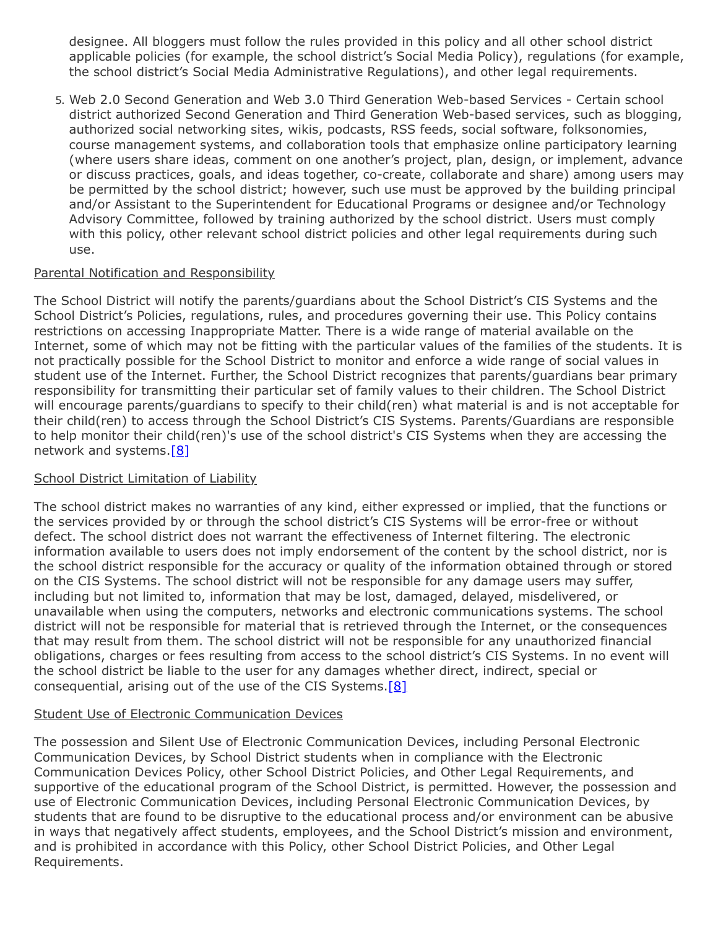designee. All bloggers must follow the rules provided in this policy and all other school district applicable policies (for example, the school district's Social Media Policy), regulations (for example, the school district's Social Media Administrative Regulations), and other legal requirements.

5. Web 2.0 Second Generation and Web 3.0 Third Generation Web-based Services - Certain school district authorized Second Generation and Third Generation Web-based services, such as blogging, authorized social networking sites, wikis, podcasts, RSS feeds, social software, folksonomies, course management systems, and collaboration tools that emphasize online participatory learning (where users share ideas, comment on one another's project, plan, design, or implement, advance or discuss practices, goals, and ideas together, co-create, collaborate and share) among users may be permitted by the school district; however, such use must be approved by the building principal and/or Assistant to the Superintendent for Educational Programs or designee and/or Technology Advisory Committee, followed by training authorized by the school district. Users must comply with this policy, other relevant school district policies and other legal requirements during such use.

## Parental Notification and Responsibility

The School District will notify the parents/guardians about the School District's CIS Systems and the School District's Policies, regulations, rules, and procedures governing their use. This Policy contains restrictions on accessing Inappropriate Matter. There is a wide range of material available on the Internet, some of which may not be fitting with the particular values of the families of the students. It is not practically possible for the School District to monitor and enforce a wide range of social values in student use of the Internet. Further, the School District recognizes that parents/guardians bear primary responsibility for transmitting their particular set of family values to their children. The School District will encourage parents/guardians to specify to their child(ren) what material is and is not acceptable for their child(ren) to access through the School District's CIS Systems. Parents/Guardians are responsible to help monitor their child(ren)'s use of the school district's CIS Systems when they are accessing the network and systems.<sup>[8]</sup>

## School District Limitation of Liability

The school district makes no warranties of any kind, either expressed or implied, that the functions or the services provided by or through the school district's CIS Systems will be error-free or without defect. The school district does not warrant the effectiveness of Internet filtering. The electronic information available to users does not imply endorsement of the content by the school district, nor is the school district responsible for the accuracy or quality of the information obtained through or stored on the CIS Systems. The school district will not be responsible for any damage users may suffer, including but not limited to, information that may be lost, damaged, delayed, misdelivered, or unavailable when using the computers, networks and electronic communications systems. The school district will not be responsible for material that is retrieved through the Internet, or the consequences that may result from them. The school district will not be responsible for any unauthorized financial obligations, charges or fees resulting from access to the school district's CIS Systems. In no event will the school district be liable to the user for any damages whether direct, indirect, special or consequential, arising out of the use of the CIS Systems.  $[8]$ 

## Student Use of Electronic Communication Devices

The possession and Silent Use of Electronic Communication Devices, including Personal Electronic Communication Devices, by School District students when in compliance with the Electronic Communication Devices Policy, other School District Policies, and Other Legal Requirements, and supportive of the educational program of the School District, is permitted. However, the possession and use of Electronic Communication Devices, including Personal Electronic Communication Devices, by students that are found to be disruptive to the educational process and/or environment can be abusive in ways that negatively affect students, employees, and the School District's mission and environment, and is prohibited in accordance with this Policy, other School District Policies, and Other Legal Requirements.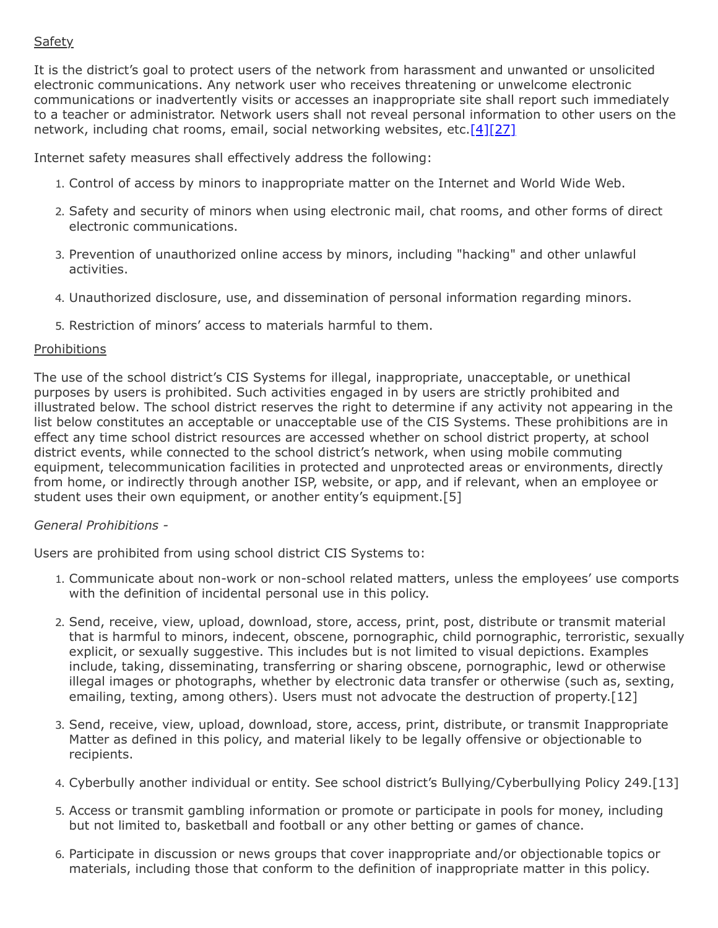## **Safety**

It is the district's goal to protect users of the network from harassment and unwanted or unsolicited electronic communications. Any network user who receives threatening or unwelcome electronic communications or inadvertently visits or accesses an inappropriate site shall report such immediately to a teacher or administrator. Network users shall not reveal personal information to other users on the network, including chat rooms, email, social networking websites, etc.[\[4\]](http://www.law.cornell.edu/uscode/text/47/254)[\[27\]](http://www.law.cornell.edu/cfr/text/47/54.520)

Internet safety measures shall effectively address the following:

- 1. Control of access by minors to inappropriate matter on the Internet and World Wide Web.
- 2. Safety and security of minors when using electronic mail, chat rooms, and other forms of direct electronic communications.
- 3. Prevention of unauthorized online access by minors, including "hacking" and other unlawful activities.
- 4. Unauthorized disclosure, use, and dissemination of personal information regarding minors.
- 5. Restriction of minors' access to materials harmful to them.

## Prohibitions

The use of the school district's CIS Systems for illegal, inappropriate, unacceptable, or unethical purposes by users is prohibited. Such activities engaged in by users are strictly prohibited and illustrated below. The school district reserves the right to determine if any activity not appearing in the list below constitutes an acceptable or unacceptable use of the CIS Systems. These prohibitions are in effect any time school district resources are accessed whether on school district property, at school district events, while connected to the school district's network, when using mobile commuting equipment, telecommunication facilities in protected and unprotected areas or environments, directly from home, or indirectly through another ISP, website, or app, and if relevant, when an employee or student uses their own equipment, or another entity's equipment.[5]

## *General Prohibitions -*

Users are prohibited from using school district CIS Systems to:

- 1. Communicate about non-work or non-school related matters, unless the employees' use comports with the definition of incidental personal use in this policy.
- 2. Send, receive, view, upload, download, store, access, print, post, distribute or transmit material that is harmful to minors, indecent, obscene, pornographic, child pornographic, terroristic, sexually explicit, or sexually suggestive. This includes but is not limited to visual depictions. Examples include, taking, disseminating, transferring or sharing obscene, pornographic, lewd or otherwise illegal images or photographs, whether by electronic data transfer or otherwise (such as, sexting, emailing, texting, among others). Users must not advocate the destruction of property.[12]
- 3. Send, receive, view, upload, download, store, access, print, distribute, or transmit Inappropriate Matter as defined in this policy, and material likely to be legally offensive or objectionable to recipients.
- 4. Cyberbully another individual or entity. See school district's Bullying/Cyberbullying Policy 249.[13]
- 5. Access or transmit gambling information or promote or participate in pools for money, including but not limited to, basketball and football or any other betting or games of chance.
- 6. Participate in discussion or news groups that cover inappropriate and/or objectionable topics or materials, including those that conform to the definition of inappropriate matter in this policy.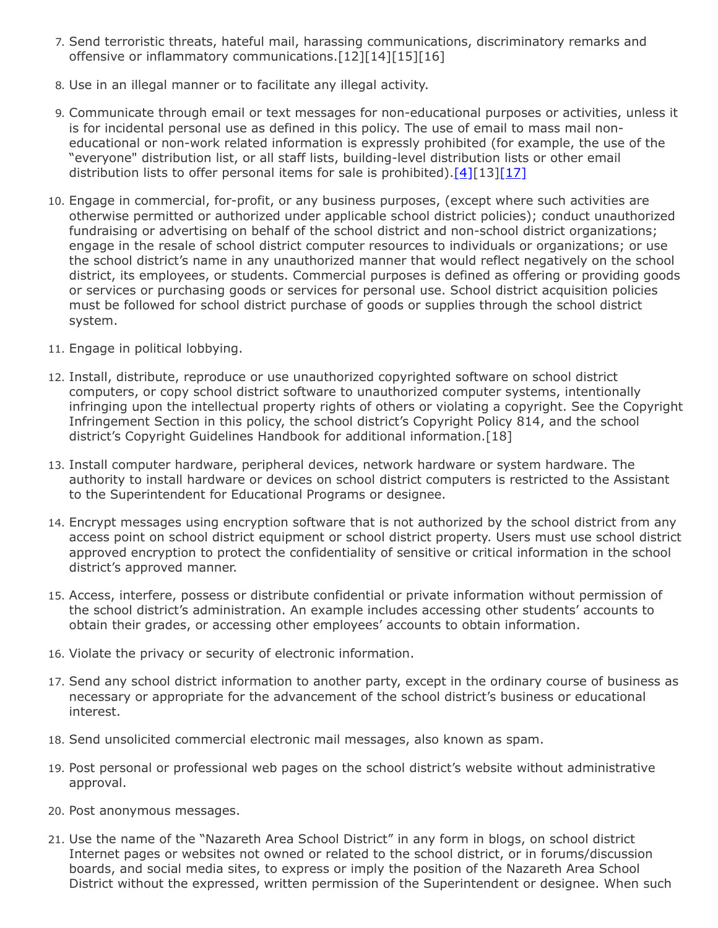- 7. Send terroristic threats, hateful mail, harassing communications, discriminatory remarks and offensive or inflammatory communications.[12][14][15][16]
- 8. Use in an illegal manner or to facilitate any illegal activity.
- 9. Communicate through email or text messages for non-educational purposes or activities, unless it is for incidental personal use as defined in this policy. The use of email to mass mail noneducational or non-work related information is expressly prohibited (for example, the use of the "everyone" distribution list, or all staff lists, building-level distribution lists or other email distribution lists to offer personal items for sale is prohibited).  $[4][13][17]$  $[4][13][17]$  $[4][13][17]$
- 10. Engage in commercial, for-profit, or any business purposes, (except where such activities are otherwise permitted or authorized under applicable school district policies); conduct unauthorized fundraising or advertising on behalf of the school district and non-school district organizations; engage in the resale of school district computer resources to individuals or organizations; or use the school district's name in any unauthorized manner that would reflect negatively on the school district, its employees, or students. Commercial purposes is defined as offering or providing goods or services or purchasing goods or services for personal use. School district acquisition policies must be followed for school district purchase of goods or supplies through the school district system.
- 11. Engage in political lobbying.
- 12. Install, distribute, reproduce or use unauthorized copyrighted software on school district computers, or copy school district software to unauthorized computer systems, intentionally infringing upon the intellectual property rights of others or violating a copyright. See the Copyright Infringement Section in this policy, the school district's Copyright Policy 814, and the school district's Copyright Guidelines Handbook for additional information.[18]
- 13. Install computer hardware, peripheral devices, network hardware or system hardware. The authority to install hardware or devices on school district computers is restricted to the Assistant to the Superintendent for Educational Programs or designee.
- 14. Encrypt messages using encryption software that is not authorized by the school district from any access point on school district equipment or school district property. Users must use school district approved encryption to protect the confidentiality of sensitive or critical information in the school district's approved manner.
- 15. Access, interfere, possess or distribute confidential or private information without permission of the school district's administration. An example includes accessing other students' accounts to obtain their grades, or accessing other employees' accounts to obtain information.
- 16. Violate the privacy or security of electronic information.
- 17. Send any school district information to another party, except in the ordinary course of business as necessary or appropriate for the advancement of the school district's business or educational interest.
- 18. Send unsolicited commercial electronic mail messages, also known as spam.
- 19. Post personal or professional web pages on the school district's website without administrative approval.
- 20. Post anonymous messages.
- 21. Use the name of the "Nazareth Area School District" in any form in blogs, on school district Internet pages or websites not owned or related to the school district, or in forums/discussion boards, and social media sites, to express or imply the position of the Nazareth Area School District without the expressed, written permission of the Superintendent or designee. When such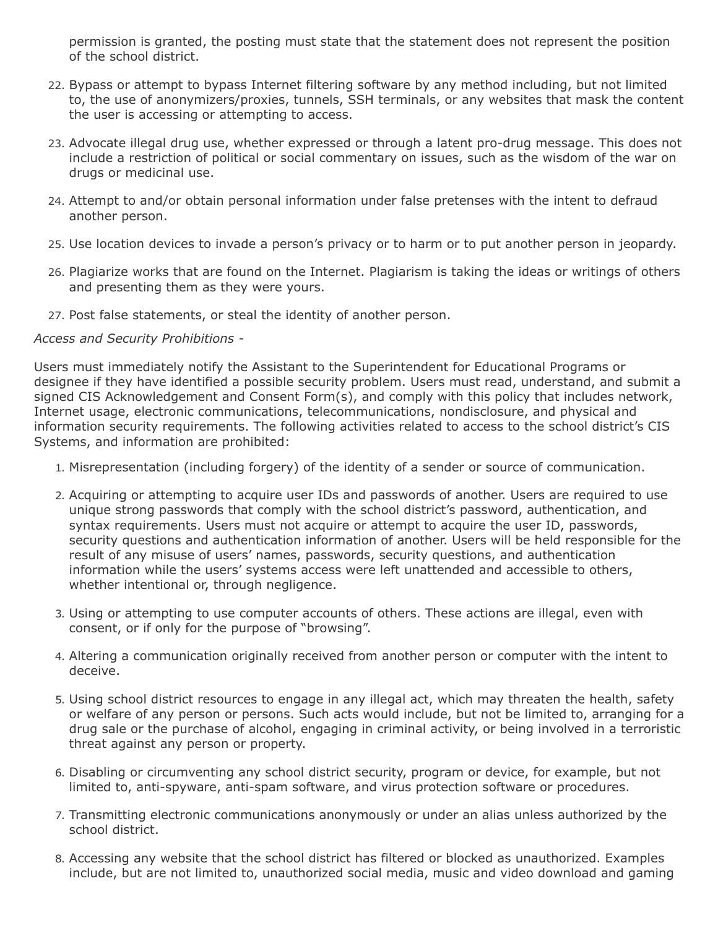permission is granted, the posting must state that the statement does not represent the position of the school district.

- 22. Bypass or attempt to bypass Internet filtering software by any method including, but not limited to, the use of anonymizers/proxies, tunnels, SSH terminals, or any websites that mask the content the user is accessing or attempting to access.
- 23. Advocate illegal drug use, whether expressed or through a latent pro-drug message. This does not include a restriction of political or social commentary on issues, such as the wisdom of the war on drugs or medicinal use.
- 24. Attempt to and/or obtain personal information under false pretenses with the intent to defraud another person.
- 25. Use location devices to invade a person's privacy or to harm or to put another person in jeopardy.
- 26. Plagiarize works that are found on the Internet. Plagiarism is taking the ideas or writings of others and presenting them as they were yours.
- 27. Post false statements, or steal the identity of another person.

### *Access and Security Prohibitions -*

Users must immediately notify the Assistant to the Superintendent for Educational Programs or designee if they have identified a possible security problem. Users must read, understand, and submit a signed CIS Acknowledgement and Consent Form(s), and comply with this policy that includes network, Internet usage, electronic communications, telecommunications, nondisclosure, and physical and information security requirements. The following activities related to access to the school district's CIS Systems, and information are prohibited:

- 1. Misrepresentation (including forgery) of the identity of a sender or source of communication.
- 2. Acquiring or attempting to acquire user IDs and passwords of another. Users are required to use unique strong passwords that comply with the school district's password, authentication, and syntax requirements. Users must not acquire or attempt to acquire the user ID, passwords, security questions and authentication information of another. Users will be held responsible for the result of any misuse of users' names, passwords, security questions, and authentication information while the users' systems access were left unattended and accessible to others, whether intentional or, through negligence.
- 3. Using or attempting to use computer accounts of others. These actions are illegal, even with consent, or if only for the purpose of "browsing".
- 4. Altering a communication originally received from another person or computer with the intent to deceive.
- 5. Using school district resources to engage in any illegal act, which may threaten the health, safety or welfare of any person or persons. Such acts would include, but not be limited to, arranging for a drug sale or the purchase of alcohol, engaging in criminal activity, or being involved in a terroristic threat against any person or property.
- 6. Disabling or circumventing any school district security, program or device, for example, but not limited to, anti-spyware, anti-spam software, and virus protection software or procedures.
- 7. Transmitting electronic communications anonymously or under an alias unless authorized by the school district.
- 8. Accessing any website that the school district has filtered or blocked as unauthorized. Examples include, but are not limited to, unauthorized social media, music and video download and gaming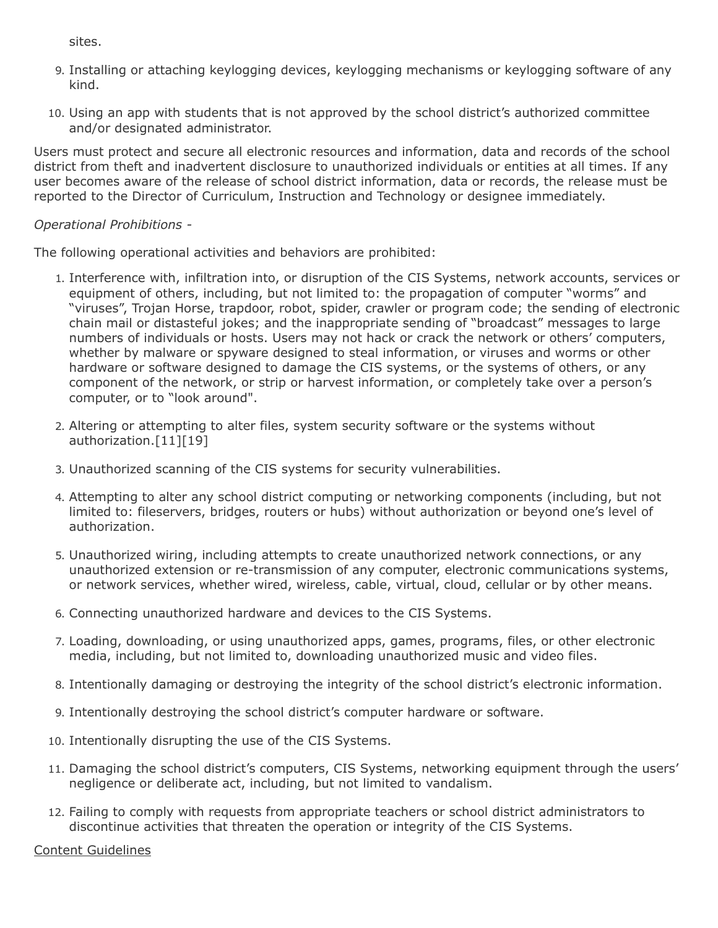sites.

- 9. Installing or attaching keylogging devices, keylogging mechanisms or keylogging software of any kind.
- 10. Using an app with students that is not approved by the school district's authorized committee and/or designated administrator.

Users must protect and secure all electronic resources and information, data and records of the school district from theft and inadvertent disclosure to unauthorized individuals or entities at all times. If any user becomes aware of the release of school district information, data or records, the release must be reported to the Director of Curriculum, Instruction and Technology or designee immediately.

## *Operational Prohibitions -*

The following operational activities and behaviors are prohibited:

- 1. Interference with, infiltration into, or disruption of the CIS Systems, network accounts, services or equipment of others, including, but not limited to: the propagation of computer "worms" and "viruses", Trojan Horse, trapdoor, robot, spider, crawler or program code; the sending of electronic chain mail or distasteful jokes; and the inappropriate sending of "broadcast" messages to large numbers of individuals or hosts. Users may not hack or crack the network or others' computers, whether by malware or spyware designed to steal information, or viruses and worms or other hardware or software designed to damage the CIS systems, or the systems of others, or any component of the network, or strip or harvest information, or completely take over a person's computer, or to "look around".
- 2. Altering or attempting to alter files, system security software or the systems without authorization.[11][19]
- 3. Unauthorized scanning of the CIS systems for security vulnerabilities.
- 4. Attempting to alter any school district computing or networking components (including, but not limited to: fileservers, bridges, routers or hubs) without authorization or beyond one's level of authorization.
- 5. Unauthorized wiring, including attempts to create unauthorized network connections, or any unauthorized extension or re-transmission of any computer, electronic communications systems, or network services, whether wired, wireless, cable, virtual, cloud, cellular or by other means.
- 6. Connecting unauthorized hardware and devices to the CIS Systems.
- 7. Loading, downloading, or using unauthorized apps, games, programs, files, or other electronic media, including, but not limited to, downloading unauthorized music and video files.
- 8. Intentionally damaging or destroying the integrity of the school district's electronic information.
- 9. Intentionally destroying the school district's computer hardware or software.
- 10. Intentionally disrupting the use of the CIS Systems.
- 11. Damaging the school district's computers, CIS Systems, networking equipment through the users' negligence or deliberate act, including, but not limited to vandalism.
- 12. Failing to comply with requests from appropriate teachers or school district administrators to discontinue activities that threaten the operation or integrity of the CIS Systems.

## Content Guidelines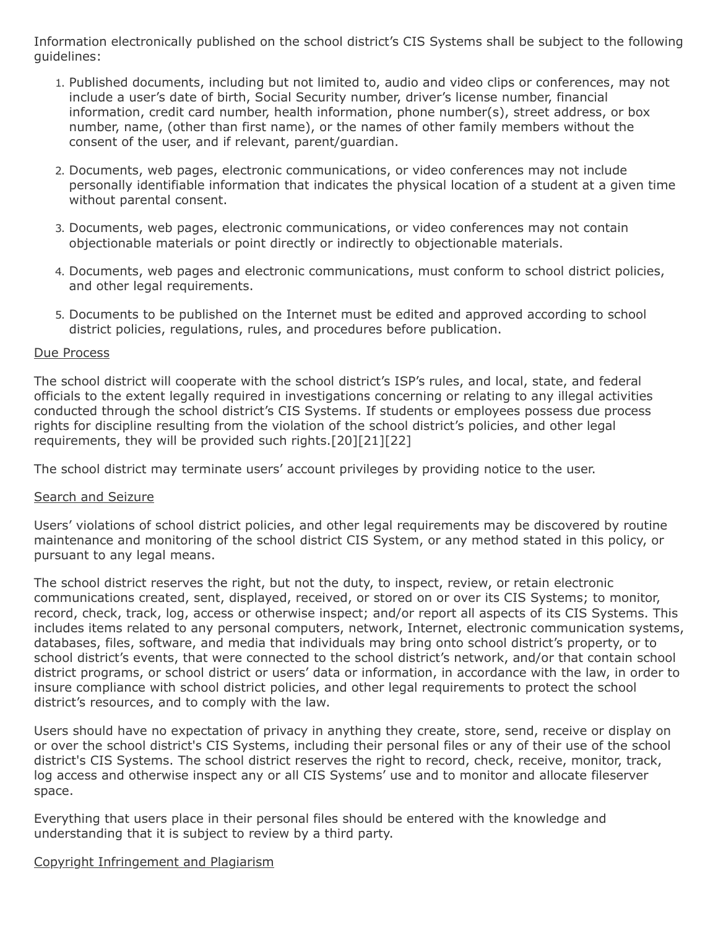Information electronically published on the school district's CIS Systems shall be subject to the following guidelines:

- 1. Published documents, including but not limited to, audio and video clips or conferences, may not include a user's date of birth, Social Security number, driver's license number, financial information, credit card number, health information, phone number(s), street address, or box number, name, (other than first name), or the names of other family members without the consent of the user, and if relevant, parent/guardian.
- 2. Documents, web pages, electronic communications, or video conferences may not include personally identifiable information that indicates the physical location of a student at a given time without parental consent.
- 3. Documents, web pages, electronic communications, or video conferences may not contain objectionable materials or point directly or indirectly to objectionable materials.
- 4. Documents, web pages and electronic communications, must conform to school district policies, and other legal requirements.
- 5. Documents to be published on the Internet must be edited and approved according to school district policies, regulations, rules, and procedures before publication.

### Due Process

The school district will cooperate with the school district's ISP's rules, and local, state, and federal officials to the extent legally required in investigations concerning or relating to any illegal activities conducted through the school district's CIS Systems. If students or employees possess due process rights for discipline resulting from the violation of the school district's policies, and other legal requirements, they will be provided such rights.[20][21][22]

The school district may terminate users' account privileges by providing notice to the user.

## Search and Seizure

Users' violations of school district policies, and other legal requirements may be discovered by routine maintenance and monitoring of the school district CIS System, or any method stated in this policy, or pursuant to any legal means.

The school district reserves the right, but not the duty, to inspect, review, or retain electronic communications created, sent, displayed, received, or stored on or over its CIS Systems; to monitor, record, check, track, log, access or otherwise inspect; and/or report all aspects of its CIS Systems. This includes items related to any personal computers, network, Internet, electronic communication systems, databases, files, software, and media that individuals may bring onto school district's property, or to school district's events, that were connected to the school district's network, and/or that contain school district programs, or school district or users' data or information, in accordance with the law, in order to insure compliance with school district policies, and other legal requirements to protect the school district's resources, and to comply with the law.

Users should have no expectation of privacy in anything they create, store, send, receive or display on or over the school district's CIS Systems, including their personal files or any of their use of the school district's CIS Systems. The school district reserves the right to record, check, receive, monitor, track, log access and otherwise inspect any or all CIS Systems' use and to monitor and allocate fileserver space.

Everything that users place in their personal files should be entered with the knowledge and understanding that it is subject to review by a third party.

## Copyright Infringement and Plagiarism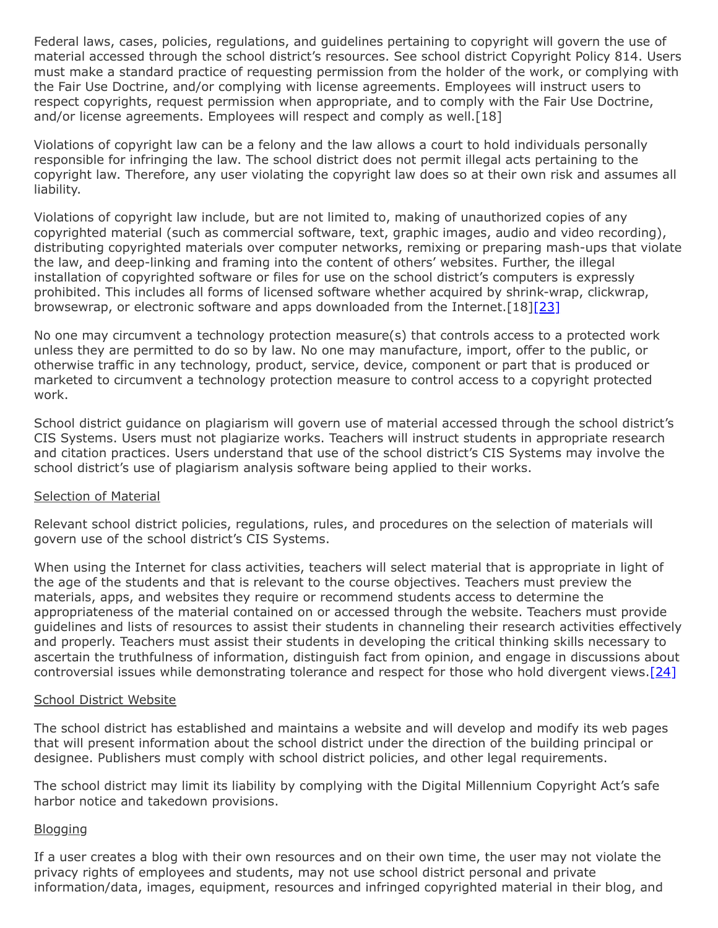Federal laws, cases, policies, regulations, and guidelines pertaining to copyright will govern the use of material accessed through the school district's resources. See school district Copyright Policy 814. Users must make a standard practice of requesting permission from the holder of the work, or complying with the Fair Use Doctrine, and/or complying with license agreements. Employees will instruct users to respect copyrights, request permission when appropriate, and to comply with the Fair Use Doctrine, and/or license agreements. Employees will respect and comply as well.[18]

Violations of copyright law can be a felony and the law allows a court to hold individuals personally responsible for infringing the law. The school district does not permit illegal acts pertaining to the copyright law. Therefore, any user violating the copyright law does so at their own risk and assumes all liability.

Violations of copyright law include, but are not limited to, making of unauthorized copies of any copyrighted material (such as commercial software, text, graphic images, audio and video recording), distributing copyrighted materials over computer networks, remixing or preparing mash-ups that violate the law, and deep-linking and framing into the content of others' websites. Further, the illegal installation of copyrighted software or files for use on the school district's computers is expressly prohibited. This includes all forms of licensed software whether acquired by shrink-wrap, clickwrap, browsewrap, or electronic software and apps downloaded from the Internet. [18[\]\[23\]](http://www.law.cornell.edu/uscode/text/17)

No one may circumvent a technology protection measure(s) that controls access to a protected work unless they are permitted to do so by law. No one may manufacture, import, offer to the public, or otherwise traffic in any technology, product, service, device, component or part that is produced or marketed to circumvent a technology protection measure to control access to a copyright protected work.

School district guidance on plagiarism will govern use of material accessed through the school district's CIS Systems. Users must not plagiarize works. Teachers will instruct students in appropriate research and citation practices. Users understand that use of the school district's CIS Systems may involve the school district's use of plagiarism analysis software being applied to their works.

#### Selection of Material

Relevant school district policies, regulations, rules, and procedures on the selection of materials will govern use of the school district's CIS Systems.

When using the Internet for class activities, teachers will select material that is appropriate in light of the age of the students and that is relevant to the course objectives. Teachers must preview the materials, apps, and websites they require or recommend students access to determine the appropriateness of the material contained on or accessed through the website. Teachers must provide guidelines and lists of resources to assist their students in channeling their research activities effectively and properly. Teachers must assist their students in developing the critical thinking skills necessary to ascertain the truthfulness of information, distinguish fact from opinion, and engage in discussions about controversial issues while demonstrating tolerance and respect for those who hold divergent views[.\[24\]](http://www.law.cornell.edu/uscode/text/17/1202)

#### School District Website

The school district has established and maintains a website and will develop and modify its web pages that will present information about the school district under the direction of the building principal or designee. Publishers must comply with school district policies, and other legal requirements.

The school district may limit its liability by complying with the Digital Millennium Copyright Act's safe harbor notice and takedown provisions.

## **Blogging**

If a user creates a blog with their own resources and on their own time, the user may not violate the privacy rights of employees and students, may not use school district personal and private information/data, images, equipment, resources and infringed copyrighted material in their blog, and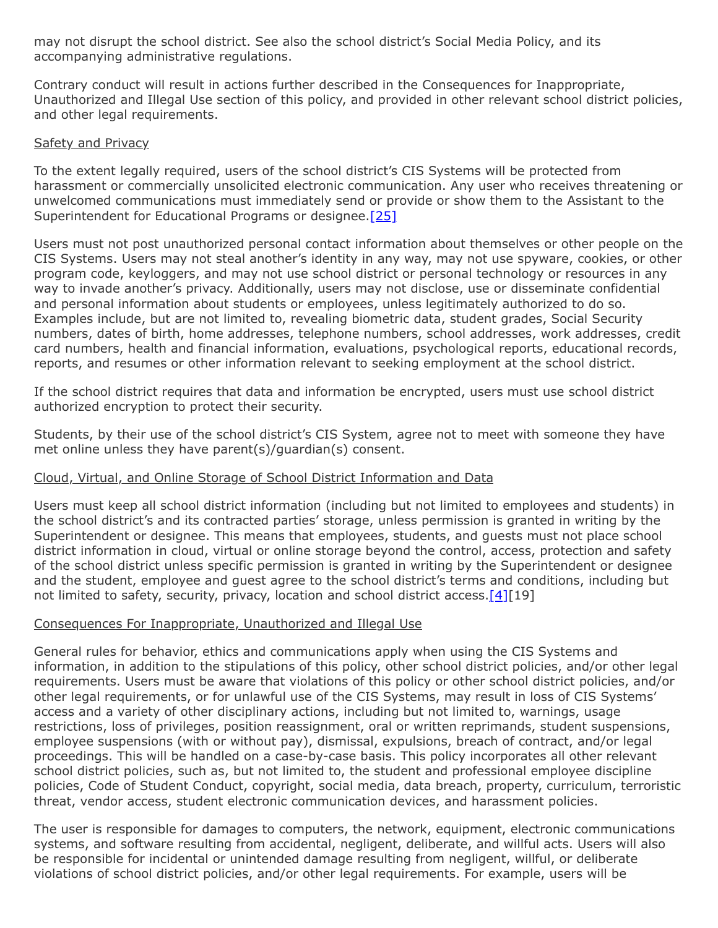may not disrupt the school district. See also the school district's Social Media Policy, and its accompanying administrative regulations.

Contrary conduct will result in actions further described in the Consequences for Inappropriate, Unauthorized and Illegal Use section of this policy, and provided in other relevant school district policies, and other legal requirements.

### Safety and Privacy

To the extent legally required, users of the school district's CIS Systems will be protected from harassment or commercially unsolicited electronic communication. Any user who receives threatening or unwelcomed communications must immediately send or provide or show them to the Assistant to the Superintendent for Educational Programs or designee.<sup>[\[25\]](http://www.law.cornell.edu/uscode/text/17/512)</sup>

Users must not post unauthorized personal contact information about themselves or other people on the CIS Systems. Users may not steal another's identity in any way, may not use spyware, cookies, or other program code, keyloggers, and may not use school district or personal technology or resources in any way to invade another's privacy. Additionally, users may not disclose, use or disseminate confidential and personal information about students or employees, unless legitimately authorized to do so. Examples include, but are not limited to, revealing biometric data, student grades, Social Security numbers, dates of birth, home addresses, telephone numbers, school addresses, work addresses, credit card numbers, health and financial information, evaluations, psychological reports, educational records, reports, and resumes or other information relevant to seeking employment at the school district.

If the school district requires that data and information be encrypted, users must use school district authorized encryption to protect their security.

Students, by their use of the school district's CIS System, agree not to meet with someone they have met online unless they have parent(s)/guardian(s) consent.

## Cloud, Virtual, and Online Storage of School District Information and Data

Users must keep all school district information (including but not limited to employees and students) in the school district's and its contracted parties' storage, unless permission is granted in writing by the Superintendent or designee. This means that employees, students, and guests must not place school district information in cloud, virtual or online storage beyond the control, access, protection and safety of the school district unless specific permission is granted in writing by the Superintendent or designee and the student, employee and guest agree to the school district's terms and conditions, including but not limited to safety, security, privacy, location and school district access.  $[4][19]$  $[4][19]$ 

## Consequences For Inappropriate, Unauthorized and Illegal Use

General rules for behavior, ethics and communications apply when using the CIS Systems and information, in addition to the stipulations of this policy, other school district policies, and/or other legal requirements. Users must be aware that violations of this policy or other school district policies, and/or other legal requirements, or for unlawful use of the CIS Systems, may result in loss of CIS Systems' access and a variety of other disciplinary actions, including but not limited to, warnings, usage restrictions, loss of privileges, position reassignment, oral or written reprimands, student suspensions, employee suspensions (with or without pay), dismissal, expulsions, breach of contract, and/or legal proceedings. This will be handled on a case-by-case basis. This policy incorporates all other relevant school district policies, such as, but not limited to, the student and professional employee discipline policies, Code of Student Conduct, copyright, social media, data breach, property, curriculum, terroristic threat, vendor access, student electronic communication devices, and harassment policies.

The user is responsible for damages to computers, the network, equipment, electronic communications systems, and software resulting from accidental, negligent, deliberate, and willful acts. Users will also be responsible for incidental or unintended damage resulting from negligent, willful, or deliberate violations of school district policies, and/or other legal requirements. For example, users will be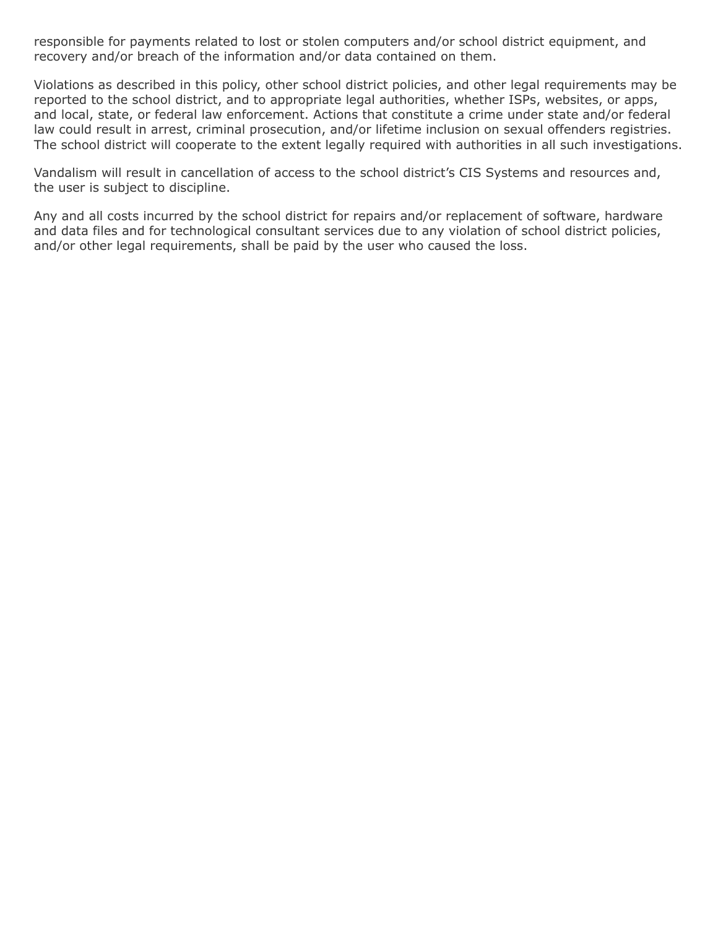responsible for payments related to lost or stolen computers and/or school district equipment, and recovery and/or breach of the information and/or data contained on them.

Violations as described in this policy, other school district policies, and other legal requirements may be reported to the school district, and to appropriate legal authorities, whether ISPs, websites, or apps, and local, state, or federal law enforcement. Actions that constitute a crime under state and/or federal law could result in arrest, criminal prosecution, and/or lifetime inclusion on sexual offenders registries. The school district will cooperate to the extent legally required with authorities in all such investigations.

Vandalism will result in cancellation of access to the school district's CIS Systems and resources and, the user is subject to discipline.

Any and all costs incurred by the school district for repairs and/or replacement of software, hardware and data files and for technological consultant services due to any violation of school district policies, and/or other legal requirements, shall be paid by the user who caused the loss.